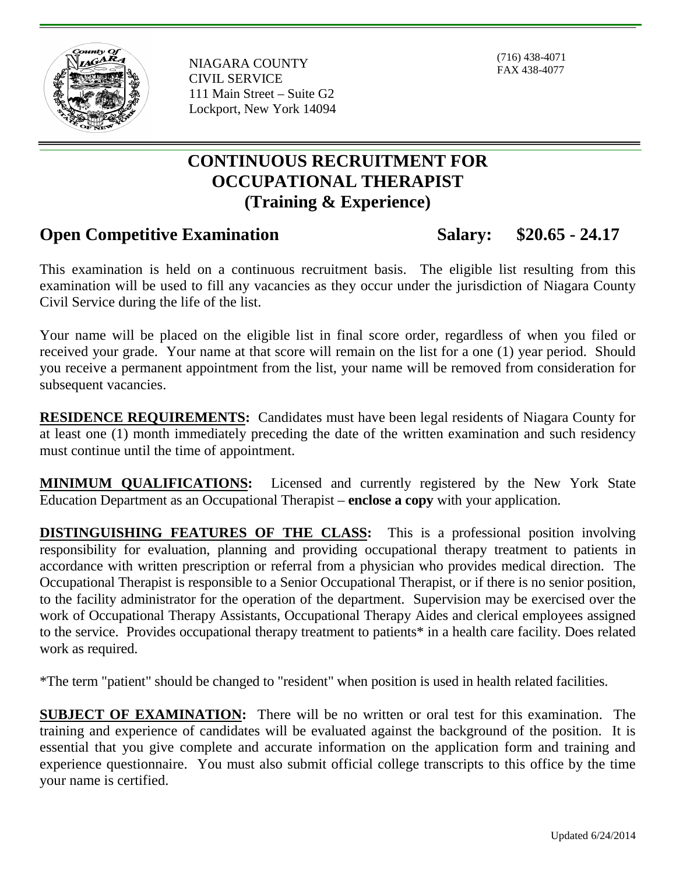

NIAGARA COUNTY CIVIL SERVICE 111 Main Street – Suite G2 Lockport, New York 14094

(716) 438-4071 FAX 438-4077

## **CONTINUOUS RECRUITMENT FOR OCCUPATIONAL THERAPIST (Training & Experience)**

## **Open Competitive Examination Salary: \$20.65 - 24.17**

This examination is held on a continuous recruitment basis. The eligible list resulting from this examination will be used to fill any vacancies as they occur under the jurisdiction of Niagara County Civil Service during the life of the list.

Your name will be placed on the eligible list in final score order, regardless of when you filed or received your grade. Your name at that score will remain on the list for a one (1) year period. Should you receive a permanent appointment from the list, your name will be removed from consideration for subsequent vacancies.

**RESIDENCE REQUIREMENTS:** Candidates must have been legal residents of Niagara County for at least one (1) month immediately preceding the date of the written examination and such residency must continue until the time of appointment.

**MINIMUM QUALIFICATIONS:** Licensed and currently registered by the New York State Education Department as an Occupational Therapist – **enclose a copy** with your application.

**DISTINGUISHING FEATURES OF THE CLASS:** This is a professional position involving responsibility for evaluation, planning and providing occupational therapy treatment to patients in accordance with written prescription or referral from a physician who provides medical direction. The Occupational Therapist is responsible to a Senior Occupational Therapist, or if there is no senior position, to the facility administrator for the operation of the department. Supervision may be exercised over the work of Occupational Therapy Assistants, Occupational Therapy Aides and clerical employees assigned to the service. Provides occupational therapy treatment to patients\* in a health care facility. Does related work as required.

\*The term "patient" should be changed to "resident" when position is used in health related facilities.

**SUBJECT OF EXAMINATION:** There will be no written or oral test for this examination. The training and experience of candidates will be evaluated against the background of the position. It is essential that you give complete and accurate information on the application form and training and experience questionnaire. You must also submit official college transcripts to this office by the time your name is certified.